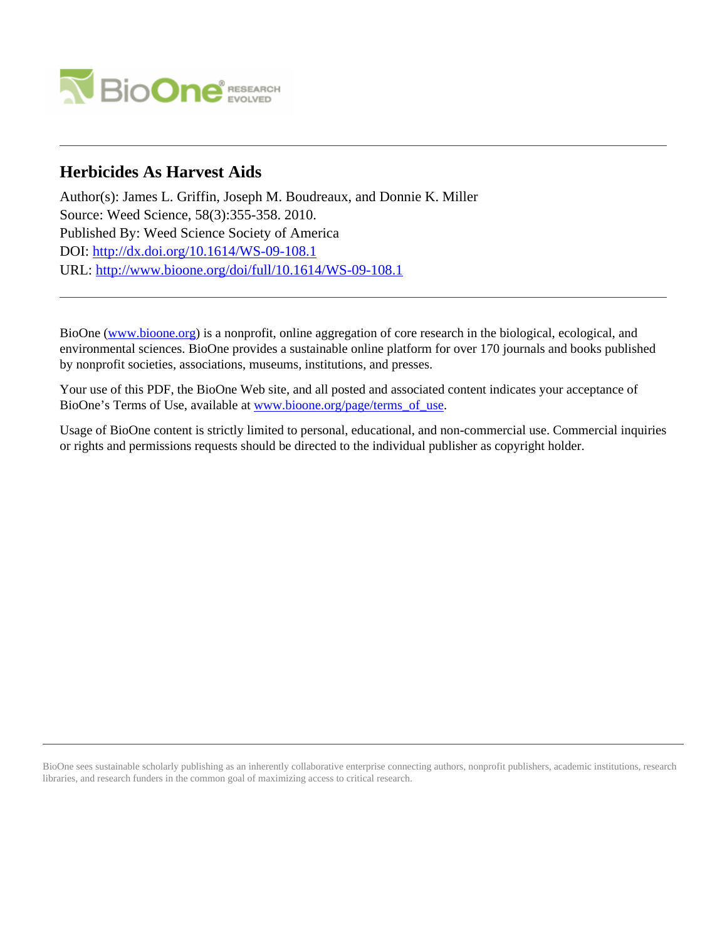

# **Herbicides As Harvest Aids**

Author(s): James L. Griffin, Joseph M. Boudreaux, and Donnie K. Miller Source: Weed Science, 58(3):355-358. 2010. Published By: Weed Science Society of America DOI:<http://dx.doi.org/10.1614/WS-09-108.1> URL: <http://www.bioone.org/doi/full/10.1614/WS-09-108.1>

BioOne [\(www.bioone.org\)](http://www.bioone.org) is a nonprofit, online aggregation of core research in the biological, ecological, and environmental sciences. BioOne provides a sustainable online platform for over 170 journals and books published by nonprofit societies, associations, museums, institutions, and presses.

Your use of this PDF, the BioOne Web site, and all posted and associated content indicates your acceptance of BioOne's Terms of Use, available at [www.bioone.org/page/terms\\_of\\_use.](http://www.bioone.org/page/terms_of_use)

Usage of BioOne content is strictly limited to personal, educational, and non-commercial use. Commercial inquiries or rights and permissions requests should be directed to the individual publisher as copyright holder.

BioOne sees sustainable scholarly publishing as an inherently collaborative enterprise connecting authors, nonprofit publishers, academic institutions, research libraries, and research funders in the common goal of maximizing access to critical research.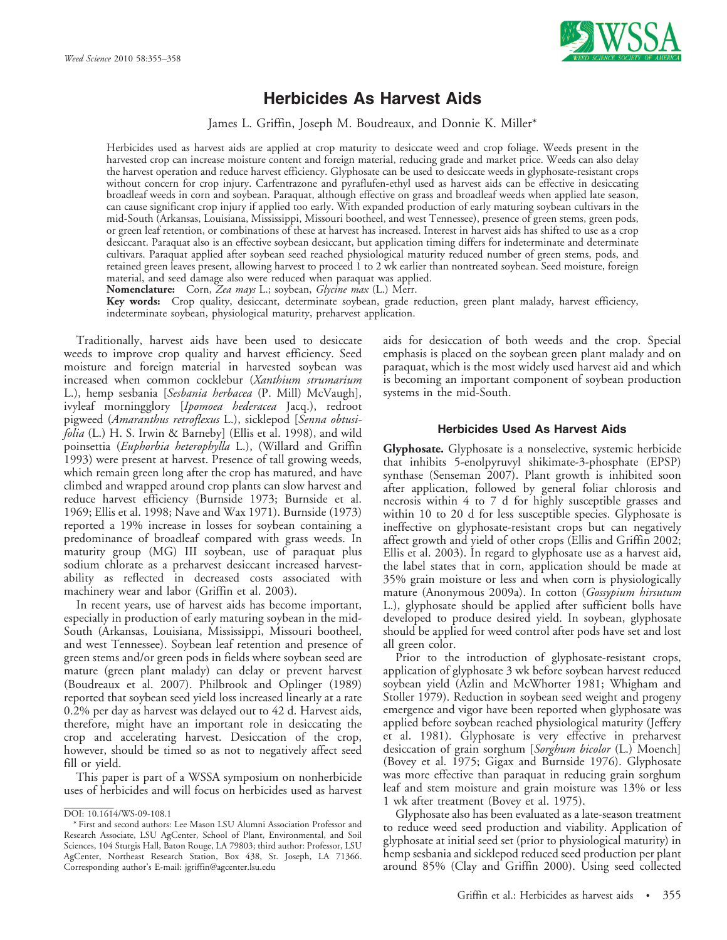

## Herbicides As Harvest Aids

James L. Griffin, Joseph M. Boudreaux, and Donnie K. Miller\*

Herbicides used as harvest aids are applied at crop maturity to desiccate weed and crop foliage. Weeds present in the harvested crop can increase moisture content and foreign material, reducing grade and market price. Weeds can also delay the harvest operation and reduce harvest efficiency. Glyphosate can be used to desiccate weeds in glyphosate-resistant crops without concern for crop injury. Carfentrazone and pyraflufen-ethyl used as harvest aids can be effective in desiccating broadleaf weeds in corn and soybean. Paraquat, although effective on grass and broadleaf weeds when applied late season, can cause significant crop injury if applied too early. With expanded production of early maturing soybean cultivars in the mid-South (Arkansas, Louisiana, Mississippi, Missouri bootheel, and west Tennessee), presence of green stems, green pods, or green leaf retention, or combinations of these at harvest has increased. Interest in harvest aids has shifted to use as a crop desiccant. Paraquat also is an effective soybean desiccant, but application timing differs for indeterminate and determinate cultivars. Paraquat applied after soybean seed reached physiological maturity reduced number of green stems, pods, and retained green leaves present, allowing harvest to proceed 1 to 2 wk earlier than nontreated soybean. Seed moisture, foreign material, and seed damage also were reduced when paraquat was applied.

Nomenclature: Corn, Zea mays L.; soybean, Glycine max (L.) Merr.

Key words: Crop quality, desiccant, determinate soybean, grade reduction, green plant malady, harvest efficiency, indeterminate soybean, physiological maturity, preharvest application.

Traditionally, harvest aids have been used to desiccate weeds to improve crop quality and harvest efficiency. Seed moisture and foreign material in harvested soybean was increased when common cocklebur (Xanthium strumarium L.), hemp sesbania [Sesbania herbacea (P. Mill) McVaugh], ivyleaf morningglory [Ipomoea hederacea Jacq.), redroot pigweed (Amaranthus retroflexus L.), sicklepod [Senna obtusifolia (L.) H. S. Irwin & Barneby] (Ellis et al. 1998), and wild poinsettia (Euphorbia heterophylla L.), (Willard and Griffin 1993) were present at harvest. Presence of tall growing weeds, which remain green long after the crop has matured, and have climbed and wrapped around crop plants can slow harvest and reduce harvest efficiency (Burnside 1973; Burnside et al. 1969; Ellis et al. 1998; Nave and Wax 1971). Burnside (1973) reported a 19% increase in losses for soybean containing a predominance of broadleaf compared with grass weeds. In maturity group (MG) III soybean, use of paraquat plus sodium chlorate as a preharvest desiccant increased harvestability as reflected in decreased costs associated with machinery wear and labor (Griffin et al. 2003).

In recent years, use of harvest aids has become important, especially in production of early maturing soybean in the mid-South (Arkansas, Louisiana, Mississippi, Missouri bootheel, and west Tennessee). Soybean leaf retention and presence of green stems and/or green pods in fields where soybean seed are mature (green plant malady) can delay or prevent harvest (Boudreaux et al. 2007). Philbrook and Oplinger (1989) reported that soybean seed yield loss increased linearly at a rate 0.2% per day as harvest was delayed out to 42 d. Harvest aids, therefore, might have an important role in desiccating the crop and accelerating harvest. Desiccation of the crop, however, should be timed so as not to negatively affect seed fill or yield.

This paper is part of a WSSA symposium on nonherbicide uses of herbicides and will focus on herbicides used as harvest aids for desiccation of both weeds and the crop. Special emphasis is placed on the soybean green plant malady and on paraquat, which is the most widely used harvest aid and which is becoming an important component of soybean production systems in the mid-South.

#### Herbicides Used As Harvest Aids

Glyphosate. Glyphosate is a nonselective, systemic herbicide that inhibits 5-enolpyruvyl shikimate-3-phosphate (EPSP) synthase (Senseman 2007). Plant growth is inhibited soon after application, followed by general foliar chlorosis and necrosis within 4 to 7 d for highly susceptible grasses and within 10 to 20 d for less susceptible species. Glyphosate is ineffective on glyphosate-resistant crops but can negatively affect growth and yield of other crops (Ellis and Griffin 2002; Ellis et al. 2003). In regard to glyphosate use as a harvest aid, the label states that in corn, application should be made at 35% grain moisture or less and when corn is physiologically mature (Anonymous 2009a). In cotton (Gossypium hirsutum L.), glyphosate should be applied after sufficient bolls have developed to produce desired yield. In soybean, glyphosate should be applied for weed control after pods have set and lost all green color.

Prior to the introduction of glyphosate-resistant crops, application of glyphosate 3 wk before soybean harvest reduced soybean yield (Azlin and McWhorter 1981; Whigham and Stoller 1979). Reduction in soybean seed weight and progeny emergence and vigor have been reported when glyphosate was applied before soybean reached physiological maturity (Jeffery et al. 1981). Glyphosate is very effective in preharvest desiccation of grain sorghum [Sorghum bicolor (L.) Moench] (Bovey et al. 1975; Gigax and Burnside 1976). Glyphosate was more effective than paraquat in reducing grain sorghum leaf and stem moisture and grain moisture was 13% or less wk after treatment (Bovey et al. 1975).

Glyphosate also has been evaluated as a late-season treatment to reduce weed seed production and viability. Application of glyphosate at initial seed set (prior to physiological maturity) in hemp sesbania and sicklepod reduced seed production per plant around 85% (Clay and Griffin 2000). Using seed collected

DOI: 10.1614/WS-09-108.1

<sup>\*</sup> First and second authors: Lee Mason LSU Alumni Association Professor and Research Associate, LSU AgCenter, School of Plant, Environmental, and Soil Sciences, 104 Sturgis Hall, Baton Rouge, LA 79803; third author: Professor, LSU AgCenter, Northeast Research Station, Box 438, St. Joseph, LA 71366. Corresponding author's E-mail: jgriffin@agcenter.lsu.edu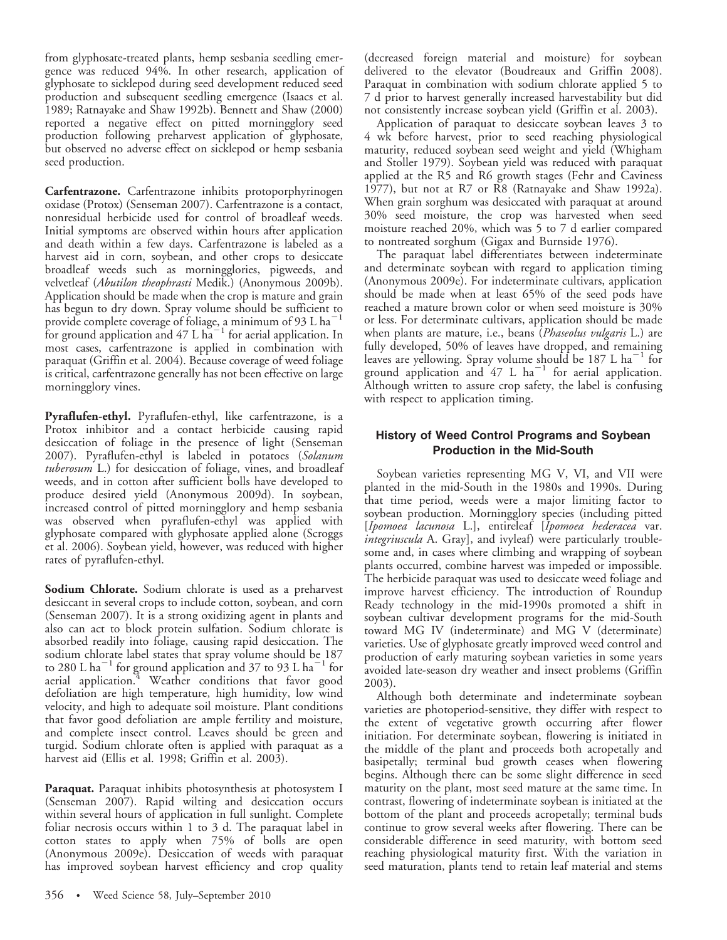from glyphosate-treated plants, hemp sesbania seedling emergence was reduced 94%. In other research, application of glyphosate to sicklepod during seed development reduced seed production and subsequent seedling emergence (Isaacs et al. 1989; Ratnayake and Shaw 1992b). Bennett and Shaw (2000) reported a negative effect on pitted morningglory seed production following preharvest application of glyphosate, but observed no adverse effect on sicklepod or hemp sesbania seed production.

Carfentrazone. Carfentrazone inhibits protoporphyrinogen oxidase (Protox) (Senseman 2007). Carfentrazone is a contact, nonresidual herbicide used for control of broadleaf weeds. Initial symptoms are observed within hours after application and death within a few days. Carfentrazone is labeled as a harvest aid in corn, soybean, and other crops to desiccate broadleaf weeds such as morningglories, pigweeds, and velvetleaf (Abutilon theophrasti Medik.) (Anonymous 2009b). Application should be made when the crop is mature and grain has begun to dry down. Spray volume should be sufficient to provide complete coverage of foliage, a minimum of 93 L ha $^{-1}$ for ground application and 47 L  $\frac{S}{1}$  for aerial application. In most cases, carfentrazone is applied in combination with paraquat (Griffin et al. 2004). Because coverage of weed foliage is critical, carfentrazone generally has not been effective on large morningglory vines.

Pyraflufen-ethyl. Pyraflufen-ethyl, like carfentrazone, is a Protox inhibitor and a contact herbicide causing rapid desiccation of foliage in the presence of light (Senseman 2007). Pyraflufen-ethyl is labeled in potatoes (Solanum tuberosum L.) for desiccation of foliage, vines, and broadleaf weeds, and in cotton after sufficient bolls have developed to produce desired yield (Anonymous 2009d). In soybean, increased control of pitted morningglory and hemp sesbania was observed when pyraflufen-ethyl was applied with glyphosate compared with glyphosate applied alone (Scroggs et al. 2006). Soybean yield, however, was reduced with higher rates of pyraflufen-ethyl.

Sodium Chlorate. Sodium chlorate is used as a preharvest desiccant in several crops to include cotton, soybean, and corn (Senseman 2007). It is a strong oxidizing agent in plants and also can act to block protein sulfation. Sodium chlorate is absorbed readily into foliage, causing rapid desiccation. The sodium chlorate label states that spray volume should be 187 to 280 L ha<sup>-1</sup> for ground application and 37 to 93 L ha<sup>-1</sup> for aerial application.<sup>4</sup> Weather conditions that favor good defoliation are high temperature, high humidity, low wind velocity, and high to adequate soil moisture. Plant conditions that favor good defoliation are ample fertility and moisture, and complete insect control. Leaves should be green and turgid. Sodium chlorate often is applied with paraquat as a harvest aid (Ellis et al. 1998; Griffin et al. 2003).

Paraquat. Paraquat inhibits photosynthesis at photosystem I (Senseman 2007). Rapid wilting and desiccation occurs within several hours of application in full sunlight. Complete foliar necrosis occurs within 1 to 3 d. The paraquat label in cotton states to apply when 75% of bolls are open (Anonymous 2009e). Desiccation of weeds with paraquat has improved soybean harvest efficiency and crop quality (decreased foreign material and moisture) for soybean delivered to the elevator (Boudreaux and Griffin 2008). Paraquat in combination with sodium chlorate applied 5 to 7 d prior to harvest generally increased harvestability but did not consistently increase soybean yield (Griffin et al. 2003).

Application of paraquat to desiccate soybean leaves 3 to 4 wk before harvest, prior to seed reaching physiological maturity, reduced soybean seed weight and yield (Whigham and Stoller 1979). Soybean yield was reduced with paraquat applied at the R5 and R6 growth stages (Fehr and Caviness 1977), but not at R7 or R8 (Ratnayake and Shaw 1992a). When grain sorghum was desiccated with paraquat at around 30% seed moisture, the crop was harvested when seed moisture reached 20%, which was 5 to 7 d earlier compared to nontreated sorghum (Gigax and Burnside 1976).

The paraquat label differentiates between indeterminate and determinate soybean with regard to application timing (Anonymous 2009e). For indeterminate cultivars, application should be made when at least 65% of the seed pods have reached a mature brown color or when seed moisture is 30% or less. For determinate cultivars, application should be made when plants are mature, i.e., beans (*Phaseolus vulgaris* L.) are fully developed, 50% of leaves have dropped, and remaining leaves are yellowing. Spray volume should be  $187 \text{ L ha}^{-1}$  for ground application and  $47$  L ha<sup>-1</sup> for aerial application. Although written to assure crop safety, the label is confusing with respect to application timing.

### History of Weed Control Programs and Soybean Production in the Mid-South

Soybean varieties representing MG V, VI, and VII were planted in the mid-South in the 1980s and 1990s. During that time period, weeds were a major limiting factor to soybean production. Morningglory species (including pitted [Ipomoea lacunosa L.], entireleaf [Ipomoea hederacea var. integriuscula A. Gray], and ivyleaf) were particularly troublesome and, in cases where climbing and wrapping of soybean plants occurred, combine harvest was impeded or impossible. The herbicide paraquat was used to desiccate weed foliage and improve harvest efficiency. The introduction of Roundup Ready technology in the mid-1990s promoted a shift in soybean cultivar development programs for the mid-South toward MG IV (indeterminate) and MG V (determinate) varieties. Use of glyphosate greatly improved weed control and production of early maturing soybean varieties in some years avoided late-season dry weather and insect problems (Griffin 2003).

Although both determinate and indeterminate soybean varieties are photoperiod-sensitive, they differ with respect to the extent of vegetative growth occurring after flower initiation. For determinate soybean, flowering is initiated in the middle of the plant and proceeds both acropetally and basipetally; terminal bud growth ceases when flowering begins. Although there can be some slight difference in seed maturity on the plant, most seed mature at the same time. In contrast, flowering of indeterminate soybean is initiated at the bottom of the plant and proceeds acropetally; terminal buds continue to grow several weeks after flowering. There can be considerable difference in seed maturity, with bottom seed reaching physiological maturity first. With the variation in seed maturation, plants tend to retain leaf material and stems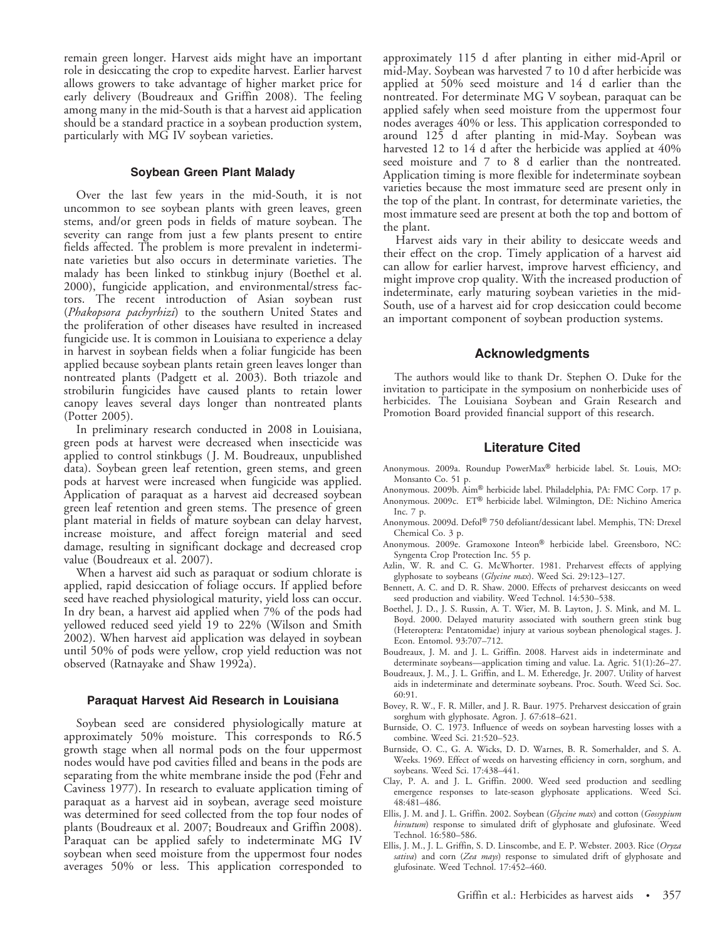remain green longer. Harvest aids might have an important role in desiccating the crop to expedite harvest. Earlier harvest allows growers to take advantage of higher market price for early delivery (Boudreaux and Griffin 2008). The feeling among many in the mid-South is that a harvest aid application should be a standard practice in a soybean production system, particularly with MG IV soybean varieties.

#### Soybean Green Plant Malady

Over the last few years in the mid-South, it is not uncommon to see soybean plants with green leaves, green stems, and/or green pods in fields of mature soybean. The severity can range from just a few plants present to entire fields affected. The problem is more prevalent in indeterminate varieties but also occurs in determinate varieties. The malady has been linked to stinkbug injury (Boethel et al. 2000), fungicide application, and environmental/stress factors. The recent introduction of Asian soybean rust (Phakopsora pachyrhizi) to the southern United States and the proliferation of other diseases have resulted in increased fungicide use. It is common in Louisiana to experience a delay in harvest in soybean fields when a foliar fungicide has been applied because soybean plants retain green leaves longer than nontreated plants (Padgett et al. 2003). Both triazole and strobilurin fungicides have caused plants to retain lower canopy leaves several days longer than nontreated plants (Potter 2005).

In preliminary research conducted in 2008 in Louisiana, green pods at harvest were decreased when insecticide was applied to control stinkbugs ( J. M. Boudreaux, unpublished data). Soybean green leaf retention, green stems, and green pods at harvest were increased when fungicide was applied. Application of paraquat as a harvest aid decreased soybean green leaf retention and green stems. The presence of green plant material in fields of mature soybean can delay harvest, increase moisture, and affect foreign material and seed damage, resulting in significant dockage and decreased crop value (Boudreaux et al. 2007).

When a harvest aid such as paraquat or sodium chlorate is applied, rapid desiccation of foliage occurs. If applied before seed have reached physiological maturity, yield loss can occur. In dry bean, a harvest aid applied when 7% of the pods had yellowed reduced seed yield 19 to 22% (Wilson and Smith 2002). When harvest aid application was delayed in soybean until 50% of pods were yellow, crop yield reduction was not observed (Ratnayake and Shaw 1992a).

#### Paraquat Harvest Aid Research in Louisiana

Soybean seed are considered physiologically mature at approximately 50% moisture. This corresponds to R6.5 growth stage when all normal pods on the four uppermost nodes would have pod cavities filled and beans in the pods are separating from the white membrane inside the pod (Fehr and Caviness 1977). In research to evaluate application timing of paraquat as a harvest aid in soybean, average seed moisture was determined for seed collected from the top four nodes of plants (Boudreaux et al. 2007; Boudreaux and Griffin 2008). Paraquat can be applied safely to indeterminate MG IV soybean when seed moisture from the uppermost four nodes averages 50% or less. This application corresponded to approximately 115 d after planting in either mid-April or mid-May. Soybean was harvested 7 to 10 d after herbicide was applied at 50% seed moisture and 14 d earlier than the nontreated. For determinate MG V soybean, paraquat can be applied safely when seed moisture from the uppermost four nodes averages 40% or less. This application corresponded to around 125 d after planting in mid-May. Soybean was harvested 12 to 14 d after the herbicide was applied at 40% seed moisture and 7 to 8 d earlier than the nontreated. Application timing is more flexible for indeterminate soybean varieties because the most immature seed are present only in the top of the plant. In contrast, for determinate varieties, the most immature seed are present at both the top and bottom of the plant.

Harvest aids vary in their ability to desiccate weeds and their effect on the crop. Timely application of a harvest aid can allow for earlier harvest, improve harvest efficiency, and might improve crop quality. With the increased production of indeterminate, early maturing soybean varieties in the mid-South, use of a harvest aid for crop desiccation could become an important component of soybean production systems.

#### Acknowledgments

The authors would like to thank Dr. Stephen O. Duke for the invitation to participate in the symposium on nonherbicide uses of herbicides. The Louisiana Soybean and Grain Research and Promotion Board provided financial support of this research.

#### Literature Cited

- Anonymous. 2009a. Roundup PowerMax® herbicide label. St. Louis, MO: Monsanto Co. 51 p.
- Anonymous. 2009b. Aim® herbicide label. Philadelphia, PA: FMC Corp. 17 p. Anonymous. 2009c. ET® herbicide label. Wilmington, DE: Nichino America Inc. 7 p.
- Anonymous. 2009d. Defol<sup>®</sup> 750 defoliant/dessicant label. Memphis, TN: Drexel Chemical Co. 3 p.
- Anonymous. 2009e. Gramoxone Inteon® herbicide label. Greensboro, NC: Syngenta Crop Protection Inc. 55 p.
- Azlin, W. R. and C. G. McWhorter. 1981. Preharvest effects of applying glyphosate to soybeans (Glycine max). Weed Sci. 29:123–127.
- Bennett, A. C. and D. R. Shaw. 2000. Effects of preharvest desiccants on weed seed production and viability. Weed Technol. 14:530–538.
- Boethel, J. D., J. S. Russin, A. T. Wier, M. B. Layton, J. S. Mink, and M. L. Boyd. 2000. Delayed maturity associated with southern green stink bug (Heteroptera: Pentatomidae) injury at various soybean phenological stages. J. Econ. Entomol. 93:707–712.
- Boudreaux, J. M. and J. L. Griffin. 2008. Harvest aids in indeterminate and determinate soybeans—application timing and value. La. Agric. 51(1):26–27.
- Boudreaux, J. M., J. L. Griffin, and L. M. Etheredge, Jr. 2007. Utility of harvest aids in indeterminate and determinate soybeans. Proc. South. Weed Sci. Soc. 60:91.
- Bovey, R. W., F. R. Miller, and J. R. Baur. 1975. Preharvest desiccation of grain sorghum with glyphosate. Agron. J. 67:618–621.
- Burnside, O. C. 1973. Influence of weeds on soybean harvesting losses with a combine. Weed Sci. 21:520–523.
- Burnside, O. C., G. A. Wicks, D. D. Warnes, B. R. Somerhalder, and S. A. Weeks. 1969. Effect of weeds on harvesting efficiency in corn, sorghum, and soybeans. Weed Sci. 17:438–441.
- Clay, P. A. and J. L. Griffin. 2000. Weed seed production and seedling emergence responses to late-season glyphosate applications. Weed Sci. 48:481–486.
- Ellis, J. M. and J. L. Griffin. 2002. Soybean (Glycine max) and cotton (Gossypium hirsutum) response to simulated drift of glyphosate and glufosinate. Weed Technol. 16:580–586.
- Ellis, J. M., J. L. Griffin, S. D. Linscombe, and E. P. Webster. 2003. Rice (Oryza sativa) and corn (Zea mays) response to simulated drift of glyphosate and glufosinate. Weed Technol. 17:452–460.